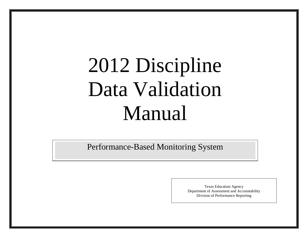# 2012 Discipline Data Validation Manual

Performance-Based Monitoring System

Texas Education Agency Department of Assessment and Accountability Division of Performance Reporting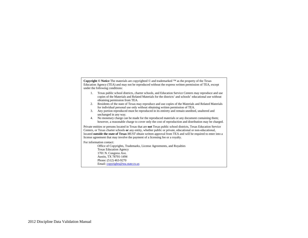**Copyright © Notice** The materials are copyrighted © and trademarked ™ as the property of the Texas Education Agency (TEA) and may not be reproduced without the express written permission of TEA, except under the following conditions:

- 1. Texas public school districts, charter schools, and Education Service Centers may reproduce and use copies of the Materials and Related Materials for the districts' and schools' educational use without obtaining permission from TEA.
- 2. Residents of the state of Texas may reproduce and use copies of the Materials and Related Materials for individual personal use only without obtaining written permission of TEA.
- 3. Any portion reproduced must be reproduced in its entirety and remain unedited, unaltered and unchanged in any way.
- 4. No monetary charge can be made for the reproduced materials or any document containing them; however, a reasonable charge to cover only the cost of reproduction and distribution may be charged.

Private entities or persons located in Texas that are **not** Texas public school districts, Texas Education Service Centers, or Texas charter schools **or** any entity, whether public or private, educational or non-educational, located **outside the state of Texas** *MUST* obtain written approval from TEA and will be required to enter into a license agreement that may involve the payment of a licensing fee or a royalty.

For information contact:

Office of Copyrights, Trademarks, License Agreements, and Royalties Texas Education Agency 1701 N. Congress Ave. Austin, TX 78701-1494 Phone: (512) 463-9270 Email[: copyrights@tea.state.tx.us](mailto:copyrights@tea.state.tx.us)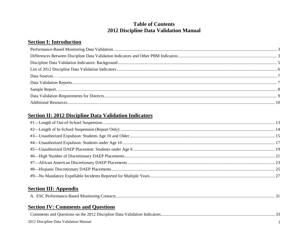#### **Table of Contents** 2012 Discipline Data Validation Manual

#### **Section I: Introduction**

### **Section II: 2012 Discipline Data Validation Indicators**

### **Section III: Appendix**

| A. ESC Performance-Based Monitoring Contacts. |  |
|-----------------------------------------------|--|
|-----------------------------------------------|--|

#### **Section IV: Comments and Questions**

| Comments and Questions on the 2012 Discipline Data Validation Indicators |  |
|--------------------------------------------------------------------------|--|
| 2012 Discipline Data Validation Manual                                   |  |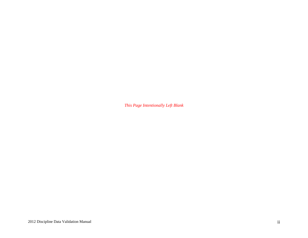*This Page Intentionally Left Blank*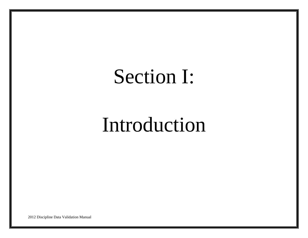## Section I:

# Introduction

2012 Discipline Data Validation Manual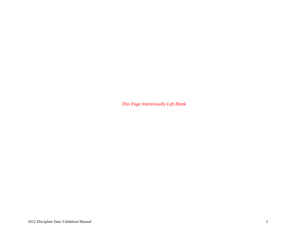*This Page Intentionally Left Blank*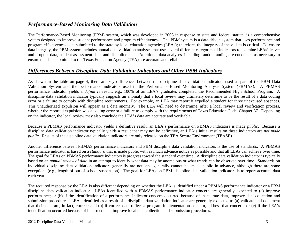#### *Performance-Based Monitoring Data Validation*

The Performance-Based Monitoring (PBM) system, which was developed in 2003 in response to state and federal statute, is a comprehensive system designed to improve student performance and program effectiveness. The PBM system is a data-driven system that uses performance and program effectiveness data submitted to the state by local education agencies (LEAs); therefore, the integrity of these data is critical. To ensure data integrity, the PBM system includes annual data validation analyses that use several different categories of indicators to examine LEAs' leaver and dropout data, student assessment data, and discipline data. Additional data analyses, including random audits, are conducted as necessary to ensure the data submitted to the Texas Education Agency (TEA) are accurate and reliable.

#### *Differences Between Discipline Data Validation Indicators and Other PBM Indicators*

As shown in the table on page 4, there are key differences between the discipline data validation indicators used as part of the PBM Data Validation System and the performance indicators used in the Performance-Based Monitoring Analysis System (PBMAS). A PBMAS performance indicator yields a *definitive* result, e.g., 100% of an LEA's graduates completed the Recommended High School Program. A discipline data validation indicator typically *suggests* an anomaly that a local review may ultimately determine to be the result of a data coding error or a failure to comply with discipline requirements. For example, an LEA may report it expelled a student for three unexcused absences. This unauthorized expulsion will appear as a data anomaly. The LEA will need to determine, after a local review and verification process, whether the reported expulsion was a coding error or a failure to comply with the requirements of Texas Education Code, Chapter 37. Depending on the indicator, the local review may also conclude the LEA's data are accurate and verifiable.

Because a PBMAS performance indicator yields a definitive result, an LEA's performance on PBMAS indicators is made *public*. Because a discipline data validation indicator typically yields a result that may not be definitive, an LEA's initial results on these indicators are *not made public*. Results of the discipline data validation indicators are only released on the TEA Secure Environment (TEASE).

Another difference between PBMAS performance indicators and PBM discipline data validation indicators is the use of standards. A PBMAS performance indicator is based on a *standard* that is made public with as much advance notice as possible and that all LEAs can achieve over time. The goal for LEAs on PBMAS performance indicators is progress toward the standard over time. A discipline data validation indicator is typically based on an *annual review of data* in an attempt to identify what data may be anomalous or what trends can be observed over time. Standards on individual discipline data validation indicators generally are not, and generally cannot be, made public in advance, although there are some exceptions (e.g., length of out-of-school suspension). The goal for LEAs on PBM discipline data validation indicators is to report accurate data each year.

The required response by the LEA is also different depending on whether the LEA is identified under a PBMAS performance indicator or a PBM discipline data validation indicator. LEAs identified with a PBMAS performance indicator concern are generally expected to (a) improve performance; or (b) if the identification of a performance indicator concern occurred because of inaccurate data, improve data collection and submission procedures. LEAs identified as a result of a discipline data validation indicator are generally expected to (a) validate and document that their data are, in fact, correct; and (b) if correct data reflect a program implementation concern, address that concern; or (c) if the LEA's identification occurred because of incorrect data, improve local data collection and submission procedures.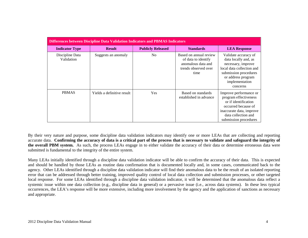| Differences between Discipline Data Validation Indicators and PBMAS Indicators |                            |                          |                                                                                                     |                                                                                                                                                                              |  |  |
|--------------------------------------------------------------------------------|----------------------------|--------------------------|-----------------------------------------------------------------------------------------------------|------------------------------------------------------------------------------------------------------------------------------------------------------------------------------|--|--|
| <b>Indicator Type</b>                                                          | <b>Result</b>              | <b>Publicly Released</b> | <b>Standards</b>                                                                                    | <b>LEA Response</b>                                                                                                                                                          |  |  |
| Discipline Data<br>Validation                                                  | Suggests an anomaly        | N <sub>0</sub>           | Based on annual review<br>of data to identify<br>anomalous data and<br>trends observed over<br>time | Validate accuracy of<br>data locally and, as<br>necessary, improve<br>local data collection and<br>submission procedures<br>or address program<br>implementation<br>concerns |  |  |
| <b>PBMAS</b>                                                                   | Yields a definitive result | Yes                      | Based on standards<br>established in advance                                                        | Improve performance or<br>program effectiveness<br>or if identification<br>occurred because of<br>inaccurate data, improve<br>data collection and<br>submission procedures   |  |  |

By their very nature and purpose, some discipline data validation indicators may identify one or more LEAs that are collecting and reporting accurate data. **Confirming the accuracy of data is a critical part of the process that is necessary to validate and safeguard the integrity of the overall PBM system.** As such, the process LEAs engage in to either validate the accuracy of their data or determine erroneous data were submitted is fundamental to the integrity of the entire system.

Many LEAs initially identified through a discipline data validation indicator will be able to confirm the accuracy of their data. This is expected and should be handled by those LEAs as routine data confirmation that is documented locally and, in some cases, communicated back to the agency. Other LEAs identified through a discipline data validation indicator will find their anomalous data to be the result of an isolated reporting error that can be addressed through better training, improved quality control of local data collection and submission processes, or other targeted local response. For some LEAs identified through a discipline data validation indicator, it will be determined that the anomalous data reflect a systemic issue within one data collection (e.g., discipline data in general) or a pervasive issue (i.e., across data systems). In these less typical occurrences, the LEA's response will be more extensive, including more involvement by the agency and the application of sanctions as necessary and appropriate.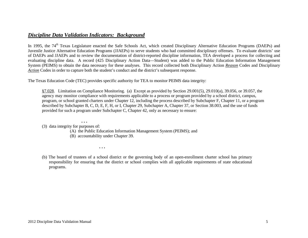#### *Discipline Data Validation Indicators: Background*

In 1995, the 74<sup>th</sup> Texas Legislature enacted the Safe Schools Act, which created Disciplinary Alternative Education Programs (DAEPs) and Juvenile Justice Alternative Education Programs (JJAEPs) to serve students who had committed disciplinary offenses. To evaluate districts' use of DAEPs and JJAEPs and to review the documentation of district-reported discipline information, TEA developed a process for collecting and evaluating discipline data. A record (425 Disciplinary Action Data—Student) was added to the Public Education Information Management System (PEIMS) to obtain the data necessary for these analyses. This record collected both Disciplinary Action *Reason* Codes and Disciplinary *Action* Codes in order to capture both the student's conduct and the district's subsequent response.

The Texas Education Code (TEC) provides specific authority for TEA to monitor PEIMS data integrity:

§7.028. Limitation on Compliance Monitoring. (a) Except as provided by Section 29.001(5), 29.010(a), 39.056, or 39.057, the agency may monitor compliance with requirements applicable to a process or program provided by a school district, campus, program, or school granted charters under Chapter 12, including the process described by Subchapter F, Chapter 11, or a program described by Subchapter B, C, D, E, F, H, or I, Chapter 29, Subchapter A, Chapter 37, or Section 38.003, and the use of funds provided for such a program under Subchapter C, Chapter 42, only as necessary to ensure:

**. . .**

- (3) data integrity for purposes of:
	- (A) the Public Education Information Management System (PEIMS); and
	- (B) accountability under Chapter 39.

**. . .**

(b) The board of trustees of a school district or the governing body of an open-enrollment charter school has primary responsibility for ensuring that the district or school complies with all applicable requirements of state educational programs.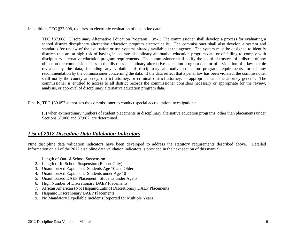In addition, TEC §37.008, requires an electronic evaluation of discipline data:

TEC §37.008. Disciplinary Alternative Education Programs. (m-1) The commissioner shall develop a process for evaluating a school district disciplinary alternative education program electronically. The commissioner shall also develop a system and standards for review of the evaluation or use systems already available at the agency. The system must be designed to identify districts that are at high risk of having inaccurate disciplinary alternative education program data or of failing to comply with disciplinary alternative education program requirements. The commissioner shall notify the board of trustees of a district of any objection the commissioner has to the district's disciplinary alternative education program data or of a violation of a law or rule revealed by the data, including any violation of disciplinary alternative education program requirements, or of any recommendation by the commissioner concerning the data. If the data reflect that a penal law has been violated, the commissioner shall notify the county attorney, district attorney, or criminal district attorney, as appropriate, and the attorney general. The commissioner is entitled to access to all district records the commissioner considers necessary or appropriate for the review, analysis, or approval of disciplinary alternative education program data.

Finally, TEC §39.057 authorizes the commissioner to conduct special accreditation investigations:

(5) when extraordinary numbers of student placements in disciplinary alternative education programs, other than placements under Sections 37.006 and 37.007, are determined.

#### *List of 2012 Discipline Data Validation Indicators*

Nine discipline data validation indicators have been developed to address the statutory requirements described above. Detailed information on all of the 2012 discipline data validation indicators is provided in the next section of this manual.

- 1. Length of Out-of-School Suspension
- 2. Length of In-School Suspension (Report Only)
- 3. Unauthorized Expulsion: Students Age 10 and Older
- 4. Unauthorized Expulsion: Students under Age 10
- 5. Unauthorized DAEP Placement: Students under Age 6
- 6. High Number of Discretionary DAEP Placements
- 7. African American (Not Hispanic/Latino) Discretionary DAEP Placements
- 8. Hispanic Discretionary DAEP Placements
- 9. No Mandatory Expellable Incidents Reported for Multiple Years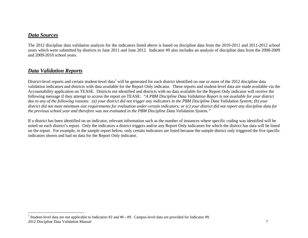#### <span id="page-10-0"></span>*Data Sources*

The 2012 discipline data validation analysis for the indicators listed above is based on discipline data from the 2010-2011 and 2011-2012 school years which were submitted by districts in June 2011 and June 2012. Indicator #9 also includes an analysis of discipline data from the 2008-2009 and 2009-2010 school years.

#### *Data Validation Reports*

District-level reports and certain student-level data<sup>[1](#page-10-0)</sup> will be generated for each district identified on one or more of the 2012 discipline data validation indicators and districts with data available for the Report Only indicator. These reports and student-level data are made available via the Accountability application on TEASE. Districts not identified and districts with no data available for the Report Only indicator will receive the following message if they attempt to access the report on TEASE: *"A PBM Discipline Data Validation Report is not available for your district due to any of the following reasons: (a) your district did not trigger any indicators in the PBM Discipline Data Validation System; (b) your district did not meet minimum size requirements for evaluation under certain indicators; or (c) your district did not report any discipline data for the previous school year and therefore was not evaluated in the PBM Discipline Data Validation System."* 

If a district has been identified on an indicator, relevant information such as the number of instances where specific coding was identified will be noted on each district's report. Only the indicators a district triggers and/or any Report Only indicators for which the district has data will be listed on the report. For example, in the sample report below, only certain indicators are listed because the sample district only triggered the five specific indicators shown and had no data for the Report Only indicator.

<sup>2012</sup> Discipline Data Validation Manual 7 <sup>1</sup> Student-level data are not applicable to Indicators #2 and #6 - #9. Campus-level data are provided for Indicator #9.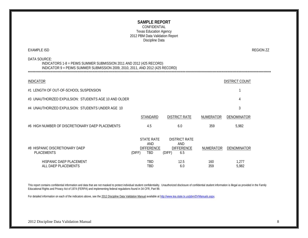#### **SAMPLE REPORT**

#### CONFIDENTIAL Texas Education Agency 2012 PBM Data Validation Report Discipline Data

| EXAMPLE ISD | <b>REGION ZZ</b> |  |
|-------------|------------------|--|
|             |                  |  |

#### DATA SOURCE: INDICATORS 1-8 = PEIMS SUMMER SUBMISSION 2011 AND 2012 (425 RECORD) INDICATOR 9 = PEIMS SUMMER SUBMISSION 2009, 2010, 2011, AND 2012 (425 RECORD) \*\*\*\*\*\*\*\*\*\*\*\*\*\*\*\*\*\*\*\*\*\*\*\*\*\*\*\*\*\*\*\*\*\*\*\*\*\*\*\*\*\*\*\*\*\*\*\*\*\*\*\*\*\*\*\*\*\*\*\*\*\*\*\*\*\*\*\*\*\*\*\*\*\*\*\*\*\*\*\*\*\*\*\*\*\*\*\*\*\*\*\*\*\*\*\*\*\*\*\*\*\*\*\*\*\*\*\*\*\*\*\*\*\*\*\*\*\*\*\*\*\*\*\*\*\*\*\*\*\*\*\*\*\*\*\*\*\*\*\*\*\*\*\*\*\*\*\*\*\*\*\*\*\*\*\*\*\*\*\*\*\*\*\*\*\*\*\*\*\*\*\*\*\*\*\*\*\*\*\*\*\*\*\*\*\*\*\*\*\*\*\*\*\*\*\*

| <b>INDICATOR</b>                                     |                                                         |                                                            |                  | <b>DISTRICT COUNT</b> |  |
|------------------------------------------------------|---------------------------------------------------------|------------------------------------------------------------|------------------|-----------------------|--|
| #1 LENGTH OF OUT-OF-SCHOOL SUSPENSION                |                                                         |                                                            |                  |                       |  |
| #3 UNAUTHORIZED EXPULSION: STUDENTS AGE 10 AND OLDER |                                                         |                                                            |                  | 4                     |  |
| #4 UNAUTHORIZED EXPULSION: STUDENTS UNDER AGE 10     |                                                         |                                                            |                  | $\mathfrak{Z}$        |  |
|                                                      | STANDARD                                                | <b>DISTRICT RATE</b>                                       | <b>NUMERATOR</b> | DENOMINATOR           |  |
| #6 HIGH NUMBER OF DISCRETIONARY DAEP PLACEMENTS      | 4.5                                                     | 6.0                                                        | 359              | 5,982                 |  |
| #8 HISPANIC DISCRETIONARY DAEP<br><b>PLACEMENTS</b>  | STATE RATE<br>AND<br><b>DIFFERENCE</b><br>TBD<br>(DIFF) | DISTRICT RATE<br>AND<br><b>DIFFERENCE</b><br>(DIFF)<br>6.5 | <b>NUMERATOR</b> | DENOMINATOR           |  |
| HISPANIC DAEP PLACEMENT<br>ALL DAEP PLACEMENTS       | TBD<br>TBD                                              | 12.5<br>6.0                                                | 160<br>359       | 1,277<br>5,982        |  |

This report contains confidential information and data that are not masked to protect individual student inalthorized disclosure of confidential student information is illegal as provided in the Family Educational Rights and Privacy Act of 1974 (FERPA) and implementing federal regulations found in 34 CFR, Part 99.

For detailed information on each of the indicators above, see the 2012 Discipline Data Validation Manual available a[t http://www.tea.state.tx.us/pbm/DVManuals.aspx.](http://www.tea.state.tx.us/pbm/DVManuals.aspx)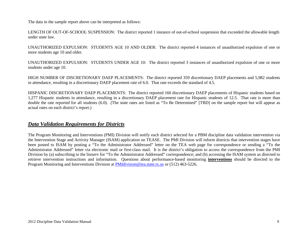The data in the sample report above can be interpreted as follows:

LENGTH OF OUT-OF-SCHOOL SUSPENSION: The district reported 1 instance of out-of-school suspension that exceeded the allowable length under state law.

UNAUTHORIZED EXPULSION: STUDENTS AGE 10 AND OLDER: The district reported 4 instances of unauthorized expulsion of one or more students age 10 and older.

UNAUTHORIZED EXPULSION: STUDENTS UNDER AGE 10: The district reported 3 instances of unauthorized expulsion of one or more students under age 10.

HIGH NUMBER OF DISCRETIONARY DAEP PLACEMENTS: The district reported 359 discretionary DAEP placements and 5,982 students in attendance, resulting in a discretionary DAEP placement rate of 6.0. That rate exceeds the standard of 4.5.

HISPANIC DISCRETIONARY DAEP PLACEMENTS: The district reported 160 discretionary DAEP placements of Hispanic students based on 1,277 Hispanic students in attendance, resulting in a discretionary DAEP placement rate for Hispanic students of 12.5. That rate is more than double the rate reported for all students (6.0). (The state rates are listed as "To Be Determined" [TBD] on the sample report but will appear as actual rates on each district's report.)

#### *Data Validation Requirements for Districts*

The Program Monitoring and Interventions (PMI) Division will notify each district selected for a PBM discipline data validation intervention via the Intervention Stage and Activity Manager (ISAM) application on TEASE. The PMI Division will inform districts that intervention stages have been posted to ISAM by posting a "To the Administrator Addressed" letter on the TEA web page for correspondence or sending a "To the Administrator Addressed" letter via electronic mail or first-class mail. It is the district's obligation to access the correspondence from the PMI Division by (a) subscribing to the listserv for "To the Administrator Addressed" correspondence; and (b) accessing the ISAM system as directed to retrieve intervention instructions and information. Questions about performance-based monitoring **interventions** should be directed to the Program Monitoring and Interventions Division at [PMIdivision@tea.state.tx.us](mailto:PMIdivision@tea.state.tx.us) or (512) 463-5226.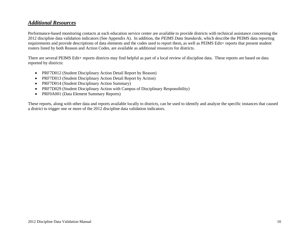#### *Additional Resources*

Performance-based monitoring contacts at each education service center are available to provide districts with technical assistance concerning the 2012 discipline data validation indicators (See Appendix A). In addition, the *PEIMS Data Standards*, which describe the PEIMS data reporting requirements and provide descriptions of data elements and the codes used to report them, as well as PEIMS Edit+ reports that present student rosters listed by both Reason and Action Codes, are available as additional resources for districts.

There are several PEIMS Edit+ reports districts may find helpful as part of a local review of discipline data. These reports are based on data reported by districts:

- PRF7D012 (Student Disciplinary Action Detail Report by Reason)
- PRF7D013 (Student Disciplinary Action Detail Report by Action)
- PRF7D014 (Student Disciplinary Action Summary)
- PRF7D029 (Student Disciplinary Action with Campus of Disciplinary Responsibility)
- PRF0A001 (Data Element Summary Reports)

These reports, along with other data and reports available locally to districts, can be used to identify and analyze the specific instances that caused a district to trigger one or more of the 2012 discipline data validation indicators.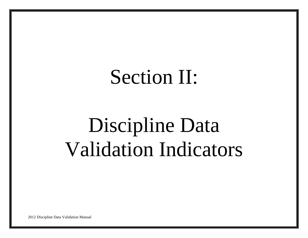## Section II:

# Discipline Data Validation Indicators

2012 Discipline Data Validation Manual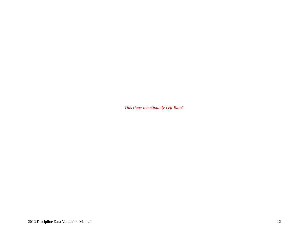*This Page Intentionally Left Blank*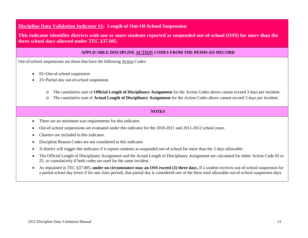#### **Discipline Data Validation Indicator #1: Length of Out-Of-School Suspension**

**This indicator identifies districts with one or more students reported as suspended out-of-school (OSS) for more than the three school days allowed under TEC §37.005.**

#### **APPLICABLE DISCIPLINE ACTION CODES FROM THE PEIMS 425 RECORD**

Out-of-school suspensions are those that have the following Action Codes:

- 05=Out-of-school suspension
- 25=Partial day out-of-school suspension
	- o The cumulative sum of **Official Length of Disciplinary Assignment** for the Action Codes above cannot exceed 3 days per incident.
	- o The cumulative sum of **Actual Length of Disciplinary Assignment** for the Action Codes above cannot exceed 3 days per incident.

#### **NOTES**

- There are no minimum size requirements for this indicator.
- Out-of-school suspensions are evaluated under this indicator for the 2010-2011 and 2011-2012 school years.
- Charters are included in this indicator.
- Discipline Reason Codes are not considered in this indicator.
- A district will trigger this indicator if it reports students as suspended out-of-school for more than the 3 days allowable.
- The Official Length of Disciplinary Assignment and the Actual Length of Disciplinary Assignment are calculated for either Action Code 05 or 25, or cumulatively if both codes are used for the same incident.
- As stipulated in TEC §37.005, **under no circumstance may an OSS exceed (3) three days.** If a student receives out-of-school suspension for a partial school day (even if for one class period), that partial day is considered one of the three total allowable out-of-school suspension days.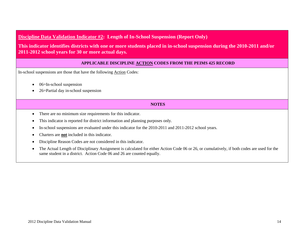#### **Discipline Data Validation Indicator #2: Length of In-School Suspension (Report Only)**

**This indicator identifies districts with one or more students placed in in-school suspension during the 2010-2011 and/or 2011-2012 school years for 30 or more actual days.**

#### **APPLICABLE DISCIPLINE ACTION CODES FROM THE PEIMS 425 RECORD**

In-school suspensions are those that have the following Action Codes:

- 06=In-school suspension
- 26=Partial day in-school suspension

#### **NOTES**

- There are no minimum size requirements for this indicator.
- This indicator is reported for district information and planning purposes only.
- In-school suspensions are evaluated under this indicator for the 2010-2011 and 2011-2012 school years.
- Charters are **not** included in this indicator.
- Discipline Reason Codes are not considered in this indicator.
- The Actual Length of Disciplinary Assignment is calculated for either Action Code 06 or 26, or cumulatively, if both codes are used for the same student in a district. Action Code 06 and 26 are counted equally.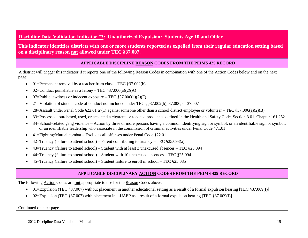#### **Discipline Data Validation Indicator #3: Unauthorized Expulsion: Students Age 10 and Older**

**This indicator identifies districts with one or more students reported as expelled from their regular education setting based on a disciplinary reason not allowed under TEC §37.007.**

#### **APPLICABLE DISCIPLINE REASON CODES FROM THE PEIMS 425 RECORD**

A district will trigger this indicator if it reports one of the following Reason Codes in combination with one of the Action Codes below and on the next page:

- 01=Permanent removal by a teacher from class TEC §37.002(b)
- 02=Conduct punishable as a felony TEC  $$37.006(a)(2)(A)$
- 07=Public lewdness or indecent exposure TEC  $$37.006(a)(2)(F)$
- 21=Violation of student code of conduct not included under TEC §§37.002(b), 37.006, or 37.007
- 28=Assault under Penal Code §22.01(a)(1) against someone other than a school district employee or volunteer TEC §37.006(a)(2)(B)
- 33=Possessed, purchased, used, or accepted a cigarette or tobacco product as defined in the Health and Safety Code, Section 3.01, Chapter 161.252
- 34=School-related gang violence Action by three or more persons having a common identifying sign or symbol, or an identifiable sign or symbol, or an identifiable leadership who associate in the commission of criminal activities under Penal Code §71.01
- 41=Fighting/Mutual combat Excludes all offenses under Penal Code §22.01
- 42=Truancy (failure to attend school) Parent contributing to truancy TEC  $\S 25.093(a)$
- 43=Truancy (failure to attend school) Student with at least 3 unexcused absences TEC §25.094
- $44=$ Truancy (failure to attend school) Student with 10 unexcused absences TEC  $\S 25.094$
- 45=Truancy (failure to attend school) Student failure to enroll in school TEC §25.085

#### **APPLICABLE DISCIPLINARY ACTION CODES FROM THE PEIMS 425 RECORD**

The following Action Codes are **not** appropriate to use for the Reason Codes above:

- 01=Expulsion (TEC §37.007) without placement in another educational setting as a result of a formal expulsion hearing [TEC §37.009(f)]
- 02=Expulsion (TEC §37.007) with placement in a JJAEP as a result of a formal expulsion hearing [TEC §37.009(f)]

Continued on next page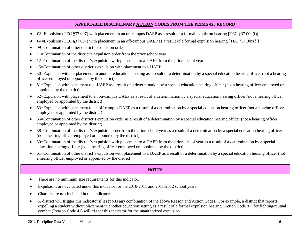#### **APPLICABLE DISCIPLINARY ACTION CODES FROM THE PEIMS 425 RECORD**

- 03=Expulsion (TEC §37.007) with placement in an on-campus DAEP as a result of a formal expulsion hearing [TEC §37.009(f)]
- 04=Expulsion (TEC §37.007) with placement in an off-campus DAEP as a result of a formal expulsion hearing [TEC §37.009(f)]
- 09=Continuation of other district's expulsion order
- 11=Continuation of the district's expulsion order from the prior school year
- 12=Continuation of the district's expulsion with placement to a JJAEP from the prior school year
- 15=Continuation of other district's expulsion with placement to a JJAEP
- 50 Expulsion without placement in another educational setting as a result of a determination by a special education hearing officer (not a hearing officer employed or appointed by the district)
- 51=Expulsion with placement to a JJAEP as a result of a determination by a special education hearing officer (not a hearing officer employed or appointed by the district)
- 52 Expulsion with placement to an on-campus DAEP as a result of a determination by a special education hearing officer (not a hearing officer employed or appointed by the district)
- 53=Expulsion with placement to an off-campus DAEP as a result of a determination by a special education hearing officer (not a hearing officer employed or appointed by the district)
- 56=Continuation of other district's expulsion order as a result of a determination by a special education hearing officer (not a hearing officer employed or appointed by the district)
- 58 = Continuation of the district's expulsion order from the prior school year as a result of a determination by a special education hearing officer (not a hearing officer employed or appointed by the district)
- 59=Continuation of the district's expulsion with placement to a JJAEP from the prior school year as a result of a determination by a special education hearing officer (not a hearing officer employed or appointed by the district)
- 61=Continuation of other district's expulsion with placement to a JJAEP as a result of a determination by a special education hearing officer (not a hearing officer employed or appointed by the district)

#### **NOTES**

- There are no minimum size requirements for this indicator.
- Expulsions are evaluated under this indicator for the 2010-2011 and 2011-2012 school years.
- Charters are **not** included in this indicator.
- A district will trigger this indicator if it reports any combination of the above Reason and Action Codes. For example, a district that reports expelling a student without placement in another education setting as a result of a formal expulsion hearing (Action Code 01) for fighting/mutual combat (Reason Code 41) will trigger this indicator for the unauthorized expulsion.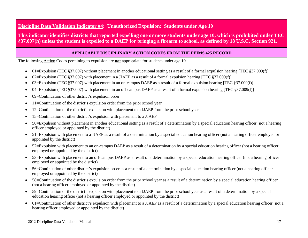#### **Discipline Data Validation Indicator #4: Unauthorized Expulsion: Students under Age 10**

**This indicator identifies districts that reported expelling one or more students under age 10, which is prohibited under TEC §37.007(h) unless the student is expelled to a DAEP for bringing a firearm to school, as defined by 18 U.S.C. Section 921.**

#### **APPLICABLE DISCIPLINARY ACTION CODES FROM THE PEIMS 425 RECORD**

The following Action Codes pertaining to expulsion are **not** appropriate for students under age 10.

- 01=Expulsion (TEC §37.007) without placement in another educational setting as a result of a formal expulsion hearing [TEC §37.009(f)]
- 02=Expulsion (TEC §37.007) with placement in a JJAEP as a result of a formal expulsion hearing [TEC §37.009(f)]
- 03=Expulsion (TEC §37.007) with placement in an on-campus DAEP as a result of a formal expulsion hearing [TEC §37.009(f)]
- 04=Expulsion (TEC §37.007) with placement in an off-campus DAEP as a result of a formal expulsion hearing [TEC §37.009(f)]
- 09=Continuation of other district's expulsion order
- 11=Continuation of the district's expulsion order from the prior school year
- 12=Continuation of the district's expulsion with placement to a JJAEP from the prior school year
- 15=Continuation of other district's expulsion with placement to a JJAEP
- 50 Expulsion without placement in another educational setting as a result of a determination by a special education hearing officer (not a hearing officer employed or appointed by the district)
- 51=Expulsion with placement to a JJAEP as a result of a determination by a special education hearing officer (not a hearing officer employed or appointed by the district)
- 52 Expulsion with placement to an on-campus DAEP as a result of a determination by a special education hearing officer (not a hearing officer employed or appointed by the district)
- 53=Expulsion with placement to an off-campus DAEP as a result of a determination by a special education hearing officer (not a hearing officer employed or appointed by the district)
- 56=Continuation of other district's expulsion order as a result of a determination by a special education hearing officer (not a hearing officer employed or appointed by the district)
- 58 = Continuation of the district's expulsion order from the prior school year as a result of a determination by a special education hearing officer (not a hearing officer employed or appointed by the district)
- 59=Continuation of the district's expulsion with placement to a JJAEP from the prior school year as a result of a determination by a special education hearing officer (not a hearing officer employed or appointed by the district)
- 61=Continuation of other district's expulsion with placement to a JJAEP as a result of a determination by a special education hearing officer (not a hearing officer employed or appointed by the district)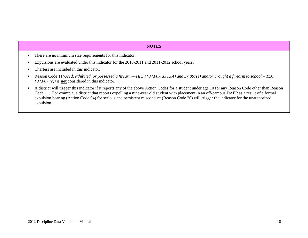#### **NOTES**

- There are no minimum size requirements for this indicator.
- Expulsions are evaluated under this indicator for the 2010-2011 and 2011-2012 school years.
- Charters are included in this indicator.
- Reason Code 11*(Used, exhibited, or possessed a firearm—TEC §§37.007(a)(1)(A) and 37.007(e) and/or brought a firearm to school – TEC §37.007 (e))* is **not** considered in this indicator.
- A district will trigger this indicator if it reports any of the above Action Codes for a student under age 10 for any Reason Code other than Reason Code 11. For example, a district that reports expelling a nine-year old student with placement in an off-campus DAEP as a result of a formal expulsion hearing (Action Code 04) for serious and persistent misconduct (Reason Code 20) will trigger the indicator for the unauthorized expulsion.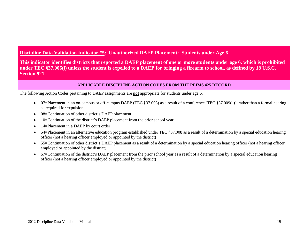#### **Discipline Data Validation Indicator #5: Unauthorized DAEP Placement: Students under Age 6**

**This indicator identifies districts that reported a DAEP placement of one or more students under age 6, which is prohibited under TEC §37.006(l) unless the student is expelled to a DAEP for bringing a firearm to school, as defined by 18 U.S.C. Section 921.**

#### **APPLICABLE DISCIPLINE ACTION CODES FROM THE PEIMS 425 RECORD**

The following Action Codes pertaining to DAEP assignments are **not** appropriate for students under age 6.

- 07=Placement in an on-campus or off-campus DAEP (TEC  $\S 37.008$ ) as a result of a conference [TEC  $\S 37.009(a)$ ], rather than a formal hearing as required for expulsion
- 08=Continuation of other district's DAEP placement
- 10=Continuation of the district's DAEP placement from the prior school year
- 14=Placement in a DAEP by court order
- 54=Placement in an alternative education program established under TEC §37.008 as a result of a determination by a special education hearing officer (not a hearing officer employed or appointed by the district)
- 55=Continuation of other district's DAEP placement as a result of a determination by a special education hearing officer (not a hearing officer employed or appointed by the district)
- 57=Continuation of the district's DAEP placement from the prior school year as a result of a determination by a special education hearing officer (not a hearing officer employed or appointed by the district)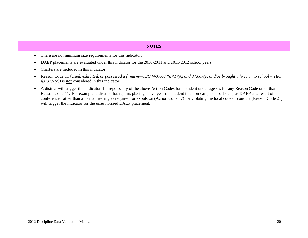#### **NOTES**

- There are no minimum size requirements for this indicator.
- DAEP placements are evaluated under this indicator for the 2010-2011 and 2011-2012 school years.
- Charters are included in this indicator.
- Reason Code 11 *(Used, exhibited, or possessed a firearm—TEC §§37.007(a)(1)(A) and 37.007(e) and/or brought a firearm to school – TEC §37.007(e))* is **not** considered in this indicator.
- A district will trigger this indicator if it reports any of the above Action Codes for a student under age six for any Reason Code other than Reason Code 11. For example, a district that reports placing a five-year old student in an on-campus or off-campus DAEP as a result of a conference, rather than a formal hearing as required for expulsion (Action Code 07) for violating the local code of conduct (Reason Code 21) will trigger the indicator for the unauthorized DAEP placement.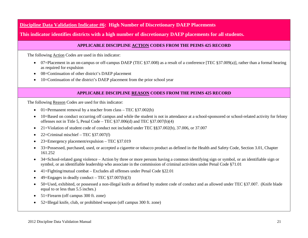#### **Discipline Data Validation Indicator #6: High Number of Discretionary DAEP Placements**

**This indicator identifies districts with a high number of discretionary DAEP placements for all students.**

#### **APPLICABLE DISCIPLINE ACTION CODES FROM THE PEIMS 425 RECORD**

The following Action Codes are used in this indicator:

- 07=Placement in an on-campus or off-campus DAEP (TEC  $\S 37.008$ ) as a result of a conference [TEC  $\S 37.009(a)$ ], rather than a formal hearing as required for expulsion
- 08=Continuation of other district's DAEP placement
- 10=Continuation of the district's DAEP placement from the prior school year

#### **APPLICABLE DISCIPLINE REASON CODES FROM THE PEIMS 425 RECORD**

The following Reason Codes are used for this indicator:

- 01=Permanent removal by a teacher from class TEC  $§37.002(b)$
- 10=Based on conduct occurring off campus and while the student is not in attendance at a school-sponsored or school-related activity for felony offenses not in Title 5, Penal Code – TEC  $$37.006(d)$  and TEC  $$37.007(b)(4)$
- 21=Violation of student code of conduct not included under TEC §§37.002(b), 37.006, or 37.007
- 22=Criminal mischief TEC  $\S 37.007(f)$
- 23=Emergency placement/expulsion TEC §37.019
- 33=Possessed, purchased, used, or accepted a cigarette or tobacco product as defined in the Health and Safety Code, Section 3.01, Chapter 161.252
- 34=School-related gang violence Action by three or more persons having a common identifying sign or symbol, or an identifiable sign or symbol, or an identifiable leadership who associate in the commission of criminal activities under Penal Code §71.01
- $41 =$ Fighting/mutual combat Excludes all offenses under Penal Code §22.01
- 49=Engages in deadly conduct TEC  $\S 37.007(b)(3)$
- 50 = Used, exhibited, or possessed a non-illegal knife as defined by student code of conduct and as allowed under TEC §37.007. (Knife blade equal to or less than 5.5 inches.)
- 51=Firearm (off campus 300 ft. zone)
- 52=Illegal knife, club, or prohibited weapon (off campus 300 ft. zone)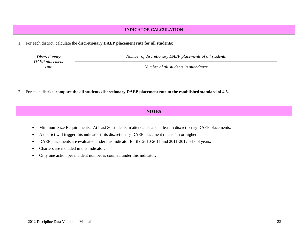#### **INDICATOR CALCULATION**

1. For each district, calculate the **discretionary DAEP placement rate for all students**:

*Discretionary DAEP placement rate*

*Number of discretionary DAEP placements of all students*

*Number of all students in attendance*

2. For each district, **compare the all students discretionary DAEP placement rate to the established standard of 4.5.**

#### **NOTES**

- Minimum Size Requirements: At least 30 students in attendance and at least 5 discretionary DAEP placements.
- A district will trigger this indicator if its discretionary DAEP placement rate is 4.5 or higher.
- DAEP placements are evaluated under this indicator for the 2010-2011 and 2011-2012 school years.
- Charters are included in this indicator.

=

• Only one action per incident number is counted under this indicator.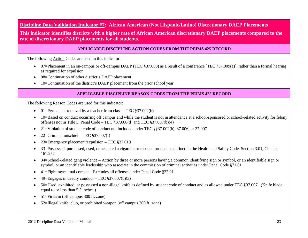#### **Discipline Data Validation Indicator #7: African American (Not Hispanic/Latino) Discretionary DAEP Placements**

**This indicator identifies districts with a higher rate of African American discretionary DAEP placements compared to the rate of discretionary DAEP placements for all students.**

#### **APPLICABLE DISCIPLINE ACTION CODES FROM THE PEIMS 425 RECORD**

The following Action Codes are used in this indicator:

- 07=Placement in an on-campus or off-campus DAEP (TEC  $\S 37.008$ ) as a result of a conference [TEC  $\S 37.009(a)$ ], rather than a formal hearing as required for expulsion
- 08=Continuation of other district's DAEP placement
- 10=Continuation of the district's DAEP placement from the prior school year

#### **APPLICABLE DISCIPLINE REASON CODES FROM THE PEIMS 425 RECORD**

The following Reason Codes are used for this indicator:

- 01=Permanent removal by a teacher from class TEC §37.002(b)
- 10 = Based on conduct occurring off campus and while the student is not in attendance at a school-sponsored or school-related activity for felony offenses not in Title 5, Penal Code – TEC  $\S 37.006(d)$  and TEC  $\S 37.007(b)(4)$
- 21=Violation of student code of conduct not included under TEC §§37.002(b), 37.006, or 37.007
- 22=Criminal mischief TEC  $\S 37.007(f)$
- 23=Emergency placement/expulsion TEC §37.019
- 33=Possessed, purchased, used, or accepted a cigarette or tobacco product as defined in the Health and Safety Code, Section 3.01, Chapter 161.252
- 34=School-related gang violence Action by three or more persons having a common identifying sign or symbol, or an identifiable sign or symbol, or an identifiable leadership who associate in the commission of criminal activities under Penal Code §71.01
- $41 =$ Fighting/mutual combat Excludes all offenses under Penal Code §22.01
- 49=Engages in deadly conduct TEC  $$37.007(b)(3)$
- 50=Used, exhibited, or possessed a non-illegal knife as defined by student code of conduct and as allowed under TEC §37.007. (Knife blade equal to or less than 5.5 inches.)
- 51=Firearm (off campus 300 ft. zone)
- 52=Illegal knife, club, or prohibited weapon (off campus 300 ft. zone)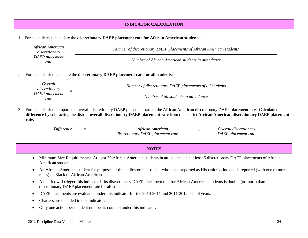|                                                                                                                                                                                                                | <b>INDICATOR CALCULATION</b>                                                                                                                                                                                                                                                                                                                                                                                   |  |  |  |
|----------------------------------------------------------------------------------------------------------------------------------------------------------------------------------------------------------------|----------------------------------------------------------------------------------------------------------------------------------------------------------------------------------------------------------------------------------------------------------------------------------------------------------------------------------------------------------------------------------------------------------------|--|--|--|
|                                                                                                                                                                                                                | 1. For each district, calculate the discretionary DAEP placement rate for African American students:                                                                                                                                                                                                                                                                                                           |  |  |  |
| African American<br>discretionary                                                                                                                                                                              | Number of discretionary DAEP placements of African American students                                                                                                                                                                                                                                                                                                                                           |  |  |  |
| DAEP placement<br>rate                                                                                                                                                                                         | Number of African American students in attendance                                                                                                                                                                                                                                                                                                                                                              |  |  |  |
| 2.                                                                                                                                                                                                             | For each district, calculate the discretionary DAEP placement rate for all students:                                                                                                                                                                                                                                                                                                                           |  |  |  |
| Overall<br>discretionary                                                                                                                                                                                       | Number of discretionary DAEP placements of all students                                                                                                                                                                                                                                                                                                                                                        |  |  |  |
| DAEP placement<br>rate                                                                                                                                                                                         | Number of all students in attendance                                                                                                                                                                                                                                                                                                                                                                           |  |  |  |
| rate.<br>Difference<br>$=$                                                                                                                                                                                     | For each district, compare the overall discretionary DAEP placement rate to the African American discretionary DAEP placement rate. Calculate the<br>difference by subtracting the district overall discretionary DAEP placement rate from the district African American discretionary DAEP placement<br>African American<br>Overall discretionary<br>discretionary DAEP placement rate<br>DAEP placement rate |  |  |  |
|                                                                                                                                                                                                                | <b>NOTES</b>                                                                                                                                                                                                                                                                                                                                                                                                   |  |  |  |
| American students.                                                                                                                                                                                             | Minimum Size Requirements: At least 30 African American students in attendance and at least 5 discretionary DAEP placements of African                                                                                                                                                                                                                                                                         |  |  |  |
| An African American student for purposes of this indicator is a student who is not reported as Hispanic/Latino and is reported (with one or more<br>races) as Black or African American.                       |                                                                                                                                                                                                                                                                                                                                                                                                                |  |  |  |
| A district will trigger this indicator if its discretionary DAEP placement rate for African American students is double (or more) than its<br>$\bullet$<br>discretionary DAEP placement rate for all students. |                                                                                                                                                                                                                                                                                                                                                                                                                |  |  |  |
|                                                                                                                                                                                                                | DAEP placements are evaluated under this indicator for the 2010-2011 and 2011-2012 school years.                                                                                                                                                                                                                                                                                                               |  |  |  |
| Charters are included in this indicator.                                                                                                                                                                       |                                                                                                                                                                                                                                                                                                                                                                                                                |  |  |  |
|                                                                                                                                                                                                                | Only one action per incident number is counted under this indicator.                                                                                                                                                                                                                                                                                                                                           |  |  |  |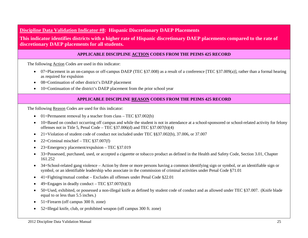#### **Discipline Data Validation Indicator #8: Hispanic Discretionary DAEP Placements**

**This indicator identifies districts with a higher rate of Hispanic discretionary DAEP placements compared to the rate of discretionary DAEP placements for all students.**

#### **APPLICABLE DISCIPLINE ACTION CODES FROM THE PEIMS 425 RECORD**

The following Action Codes are used in this indicator:

- 07=Placement in an on-campus or off-campus DAEP (TEC §37.008) as a result of a conference [TEC §37.009(a)], rather than a formal hearing as required for expulsion
- 08=Continuation of other district's DAEP placement
- 10=Continuation of the district's DAEP placement from the prior school year

#### **APPLICABLE DISCIPLINE REASON CODES FROM THE PEIMS 425 RECORD**

The following Reason Codes are used for this indicator:

- 01=Permanent removal by a teacher from class TEC  $§37.002(b)$
- 10=Based on conduct occurring off campus and while the student is not in attendance at a school-sponsored or school-related activity for felony offenses not in Title 5, Penal Code – TEC §37.006(d) and TEC §37.007(b)(4)
- 21=Violation of student code of conduct not included under TEC §§37.002(b), 37.006, or 37.007
- 22=Criminal mischief TEC  $§$ 37.007(f)
- 23=Emergency placement/expulsion TEC §37.019
- 33=Possessed, purchased, used, or accepted a cigarette or tobacco product as defined in the Health and Safety Code, Section 3.01, Chapter 161.252
- 34=School-related gang violence Action by three or more persons having a common identifying sign or symbol, or an identifiable sign or symbol, or an identifiable leadership who associate in the commission of criminal activities under Penal Code §71.01
- 41=Fighting/mutual combat Excludes all offenses under Penal Code §22.01
- 49=Engages in deadly conduct TEC  $$37.007(b)(3)$
- 50 = Used, exhibited, or possessed a non-illegal knife as defined by student code of conduct and as allowed under TEC §37.007. (Knife blade equal to or less than 5.5 inches.)
- 51=Firearm (off campus 300 ft. zone)
- 52=Illegal knife, club, or prohibited weapon (off campus 300 ft. zone)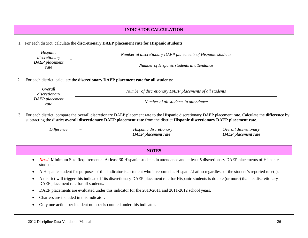| <b>INDICATOR CALCULATION</b>                                                                                                                                                              |                                                                                                                                                                                                                                                                                                                                                                                              |  |  |  |  |
|-------------------------------------------------------------------------------------------------------------------------------------------------------------------------------------------|----------------------------------------------------------------------------------------------------------------------------------------------------------------------------------------------------------------------------------------------------------------------------------------------------------------------------------------------------------------------------------------------|--|--|--|--|
| 1. For each district, calculate the discretionary DAEP placement rate for Hispanic students:                                                                                              |                                                                                                                                                                                                                                                                                                                                                                                              |  |  |  |  |
| Hispanic<br>discretionary                                                                                                                                                                 | Number of discretionary DAEP placements of Hispanic students                                                                                                                                                                                                                                                                                                                                 |  |  |  |  |
| DAEP placement<br>rate                                                                                                                                                                    | Number of Hispanic students in attendance                                                                                                                                                                                                                                                                                                                                                    |  |  |  |  |
| 2.                                                                                                                                                                                        | For each district, calculate the discretionary DAEP placement rate for all students:                                                                                                                                                                                                                                                                                                         |  |  |  |  |
| Overall<br>discretionary                                                                                                                                                                  | Number of discretionary DAEP placements of all students                                                                                                                                                                                                                                                                                                                                      |  |  |  |  |
| DAEP placement<br>rate                                                                                                                                                                    | Number of all students in attendance                                                                                                                                                                                                                                                                                                                                                         |  |  |  |  |
| 3.<br>Difference<br>$\quad \  \  =$                                                                                                                                                       | For each district, compare the overall discretionary DAEP placement rate to the Hispanic discretionary DAEP placement rate. Calculate the difference by<br>subtracting the district overall discretionary DAEP placement rate from the district Hispanic discretionary DAEP placement rate.<br>Hispanic discretionary<br>Overall discretionary<br>DAEP placement rate<br>DAEP placement rate |  |  |  |  |
|                                                                                                                                                                                           | <b>NOTES</b>                                                                                                                                                                                                                                                                                                                                                                                 |  |  |  |  |
| $\bullet$<br>students.                                                                                                                                                                    | New! Minimum Size Requirements: At least 30 Hispanic students in attendance and at least 5 discretionary DAEP placements of Hispanic                                                                                                                                                                                                                                                         |  |  |  |  |
| A Hispanic student for purposes of this indicator is a student who is reported as Hispanic Latino regardless of the student's reported race(s).                                           |                                                                                                                                                                                                                                                                                                                                                                                              |  |  |  |  |
| A district will trigger this indicator if its discretionary DAEP placement rate for Hispanic students is double (or more) than its discretionary<br>DAEP placement rate for all students. |                                                                                                                                                                                                                                                                                                                                                                                              |  |  |  |  |
| DAEP placements are evaluated under this indicator for the 2010-2011 and 2011-2012 school years.<br>$\bullet$                                                                             |                                                                                                                                                                                                                                                                                                                                                                                              |  |  |  |  |
| Charters are included in this indicator.                                                                                                                                                  |                                                                                                                                                                                                                                                                                                                                                                                              |  |  |  |  |
|                                                                                                                                                                                           | Only one action per incident number is counted under this indicator.                                                                                                                                                                                                                                                                                                                         |  |  |  |  |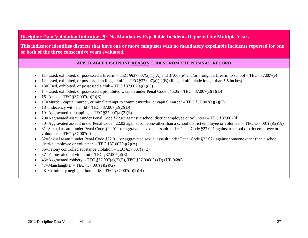#### **Discipline Data Validation Indicator #9: No Mandatory Expellable Incidents Reported for Multiple Years**

**This indicator identifies districts that have one or more campuses with no mandatory expellable incidents reported for one or both of the three consecutive years evaluated.**

#### **APPLICABLE DISCIPLINE REASON CODES FROM THE PEIMS 425 RECORD**

- 11=Used, exhibited, or possessed a firearm TEC  $\S$  $\S$ 37.007(a)(1)(A) and 37.007(e) and/or brought a firearm to school TEC  $\S$ 37.007(e)
- 12=Used, exhibited, or possessed an illegal knife TEC  $\S37.007(a)(1)(B)$  (Illegal knife blade longer than 5.5 inches)
- 13=Used, exhibited, or possessed a club TEC  $$37.007(a)(1)(C)$
- 14=Used, exhibited, or possessed a prohibited weapon under Penal Code  $§46.05 \text{TEC } $37.007(a)(1)(D)$
- $16=Arson TEC \$  \$37.007(a)(2)(B)
- 17=Murder, capital murder, criminal attempt to commit murder, or capital murder TEC  $$37.007(a)(2)(C)$
- 18=Indecency with a child TEC  $$37.007(a)(2)(D)$
- 19=Aggravated kidnapping TEC  $\S 37.007(a)(2)(E)$
- 29=Aggravated assault under Penal Code §22.02 against a school district employee or volunteer TEC §37.007(d)
- 30=Aggravated assault under Penal Code §22.02 against someone other than a school district employee or volunteer TEC §37.007(a)(2)(A)
- 31=Sexual assault under Penal Code §22.011 or aggravated sexual assault under Penal Code §22.021 against a school district employee or volunteer – TEC  $\S 37.007(d)$
- 32 = Sexual assault under Penal Code §22.011 or aggravated sexual assault under Penal Code §22.021 against someone other than a school district employee or volunteer – TEC  $\S 37.007(a)(2)(A)$
- 36=Felony controlled substance violation TEC  $§37.007(a)(3)$
- 37=Felony alcohol violation TEC  $\S 37.007(a)(3)$
- 46=Aggravated robbery TEC §37.007(a)(2)(F), TEC §37.006(C)-(D) (HB 9680)
- $47 =$ Manslaughter TEC  $$37.007(a)(2)(G)$
- 48=Criminally negligent homicide TEC  $\S 37.007(a)(2)(H)$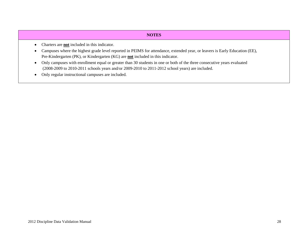#### **NOTES**

- Charters are **not** included in this indicator.
- Campuses where the highest grade level reported in PEIMS for attendance, extended year, or leavers is Early Education (EE), Pre-Kindergarten (PK), or Kindergarten (KG) are **not** included in this indicator.
- Only campuses with enrollment equal or greater than 30 students in one or both of the three consecutive years evaluated (2008-2009 to 2010-2011 schools years and/or 2009-2010 to 2011-2012 school years) are included.
- Only regular instructional campuses are included.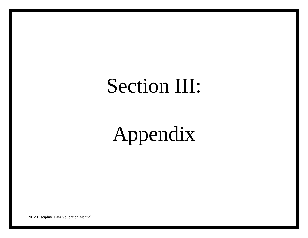## Section III:

# Appendix

2012 Discipline Data Validation Manual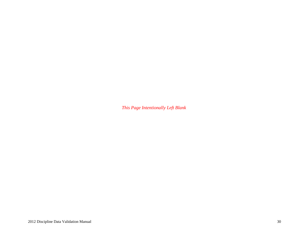*This Page Intentionally Left Blank*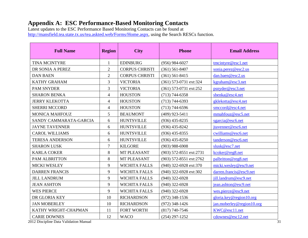### **Appendix A: ESC Performance-Based Monitoring Contacts**

Latest updates to the ESC Performance Based Monitoring Contacts can be found at [http://mansfield.tea.state.tx.us/tea.askted.web/Forms/Home.aspx,](http://mansfield.tea.state.tx.us/tea.askted.web/Forms/Home.aspx) using the Search RESCs function.

| <b>Full Name</b>       | <b>Region</b>  | <b>City</b>           | <b>Phone</b>            | <b>Email Address</b>      |
|------------------------|----------------|-----------------------|-------------------------|---------------------------|
| <b>TINA MCINTYRE</b>   |                | <b>EDINBURG</b>       | $(956)$ 984-6027        | tmcintyre@esc1.net        |
| DR SONIA A PEREZ       | $\mathbf{2}$   | <b>CORPUS CHRISTI</b> | $(361) 561 - 8407$      | sonia.perez@esc2.us       |
| <b>DAN BAEN</b>        | $\overline{2}$ | <b>CORPUS CHRISTI</b> | $(361) 561 - 8415$      | dan.baen@esc2.us          |
| <b>KATHY GRAHAM</b>    | $\overline{3}$ | <b>VICTORIA</b>       | (361) 573-0731 ext:324  | kgraham@esc3.net          |
| <b>PAM SNYDER</b>      | 3              | <b>VICTORIA</b>       | (361) 573-0731 ext:252  | psnyder@esc3.net          |
| <b>SHARON BENKA</b>    | $\overline{4}$ | <b>HOUSTON</b>        | $(713) 744 - 6358$      | sbenka@esc4.net           |
| <b>JERRY KLEKOTTA</b>  | $\overline{4}$ | <b>HOUSTON</b>        | $(713) 744 - 6393$      | gklekotta@esc4.net        |
| <b>SHERRI MCCORD</b>   | $\overline{4}$ | <b>HOUSTON</b>        | $(713) 744 - 6596$      | smccord@esc4.net          |
| <b>MONICA MAHFOUZ</b>  | 5              | <b>BEAUMONT</b>       | $(409)$ 923-5411        | mmahfouz@esc5.net         |
| SANDY CAMMARATA-GARCIA | 6              | <b>HUNTSVILLE</b>     | $(936)$ 435-8235        | sgarcia@esc6.net          |
| <b>JAYNE TAVENNER</b>  | 6              | <b>HUNTSVILLE</b>     | $(936)$ 435-8242        | jtavenner@esc6.net        |
| <b>CAROL WILLIAMS</b>  | 6              | <b>HUNTSVILLE</b>     | $(936)$ 435-8355        | cwilliams@esc6.net        |
| <b>TERESA ANDERSON</b> | 6              | <b>HUNTSVILLE</b>     | $(936)$ 435-8250        | tanderson@esc6.net        |
| <b>SHARON LUSK</b>     | $\tau$         | <b>KILGORE</b>        | $(903)$ 988-6908        | slusk@esc7.net            |
| <b>KARLA COKER</b>     | 8              | <b>MT PLEASANT</b>    | (903) 572-8551 ext:2731 | kcoker@reg8.net           |
| PAM ALBRITTON          | 8              | MT PLEASANT           | (903) 572-8551 ext:2762 | palbritton@reg8.net       |
| <b>MICKI WESLEY</b>    | 9              | <b>WICHITA FALLS</b>  | (940) 322-6928 ext:370  | micki.wesley@esc9.net     |
| <b>DARREN FRANCIS</b>  | 9              | <b>WICHITA FALLS</b>  | (940) 322-6928 ext:302  | darren.francis@esc9.net   |
| <b>JILL LANDRUM</b>    | 9              | <b>WICHITA FALLS</b>  | $(940)$ 322-6928        | jill.landrum@esc9.net     |
| <b>JEAN ASHTON</b>     | 9              | <b>WICHITA FALLS</b>  | $(940)$ 322-6928        | jean.ashton@esc9.net      |
| <b>WES PIERCE</b>      | 9              | <b>WICHITA FALLS</b>  | $(940)$ 322-6928        | wes.pierce@esc9.net       |
| DR GLORIA KEY          | 10             | <b>RICHARDSON</b>     | $(972)$ 348-1536        | gloria.key@region10.org   |
| <b>JAN MOBERLEY</b>    | 10             | <b>RICHARDSON</b>     | $(972)$ 348-1426        | jan.moberley@region10.org |
| KATHY WRIGHT-CHAPMAN   | 11             | FORT WORTH            | $(817) 740 - 7546$      | KWC@esc11.net             |
| <b>CARIE DOWNES</b>    | 12             | <b>WACO</b>           | $(254) 297 - 1252$      | cdownes@esc12.net         |

2012 Discipline Data Validation Manual 31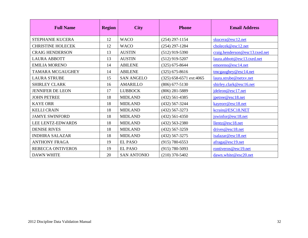| <b>Full Name</b>         | <b>Region</b> | <b>City</b>        | <b>Phone</b>            | <b>Email Address</b>           |
|--------------------------|---------------|--------------------|-------------------------|--------------------------------|
| <b>STEPHANIE KUCERA</b>  | 12            | <b>WACO</b>        | $(254)$ 297-1154        | skucera@esc12.net              |
| <b>CHRISTINE HOLECEK</b> | 12            | <b>WACO</b>        | $(254)$ 297-1284        | cholecek@esc12.net             |
| <b>CRAIG HENDERSON</b>   | 13            | <b>AUSTIN</b>      | $(512)$ 919-5390        | craig.henderson@esc13.txed.net |
| <b>LAURA ABBOTT</b>      | 13            | <b>AUSTIN</b>      | $(512)$ 919-5207        | laura.abbott@esc13.txed.net    |
| <b>EMILIA MORENO</b>     | 14            | <b>ABILENE</b>     | $(325)$ 675-8644        | emoreno@esc14.net              |
| <b>TAMARA MCGAUGHEY</b>  | 14            | <b>ABILENE</b>     | $(325)$ 675-8616        | $t$ mcgaughey@esc14.net        |
| <b>LAURA STRUBE</b>      | 15            | <b>SAN ANGELO</b>  | (325) 658-6571 ext:4065 | laura.strube@netxv.net         |
| <b>SHIRLEY CLARK</b>     | 16            | <b>AMARILLO</b>    | $(806)$ 677-5130        | shirley.clark@esc16.net        |
| <b>JENNIFER DE LEON</b>  | 17            | <b>LUBBOCK</b>     | $(806)$ 281-5889        | jdeleon@esc17.net              |
| <b>JOHN PETREE</b>       | 18            | <b>MIDLAND</b>     | $(432)$ 561-4385        | jpetree@esc18.net              |
| <b>KAYE ORR</b>          | 18            | <b>MIDLAND</b>     | (432) 567-3244          | kayeorr@esc18.net              |
| <b>KELLI CRAIN</b>       | 18            | <b>MIDLAND</b>     | $(432) 567 - 3273$      | kcrain@ESC18.NET               |
| <b>JAMYE SWINFORD</b>    | 18            | <b>MIDLAND</b>     | (432) 561-4350          | jswinfor@esc18.net             |
| LEE LENTZ-EDWARDS        | 18            | <b>MIDLAND</b>     | $(432) 563 - 2380$      | llentz@esc18.net               |
| <b>DENISE RIVES</b>      | 18            | <b>MIDLAND</b>     | $(432)$ 567-3259        | drives@esc18.net               |
| <b>INDHIRA SALAZAR</b>   | 18            | <b>MIDLAND</b>     | (432) 567-3275          | isalazar@esc18.net             |
| <b>ANTHONY FRAGA</b>     | 19            | <b>EL PASO</b>     | $(915) 780 - 6553$      | afraga@esc19.net               |
| <b>REBECCA ONTIVEROS</b> | 19            | <b>EL PASO</b>     | $(915) 780 - 5093$      | rontiveros@esc19.net           |
| <b>DAWN WHITE</b>        | 20            | <b>SAN ANTONIO</b> | $(210)$ 370-5402        | dawn.white@esc20.net           |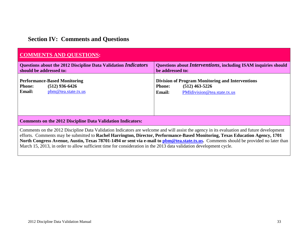### **Section IV: Comments and Questions**

| <b>COMMENTS AND QUESTIONS:</b>                                                                                                                                                                                                                                                                                                                                                                                                                                                                                                            |                                                                                                                                              |  |  |  |  |
|-------------------------------------------------------------------------------------------------------------------------------------------------------------------------------------------------------------------------------------------------------------------------------------------------------------------------------------------------------------------------------------------------------------------------------------------------------------------------------------------------------------------------------------------|----------------------------------------------------------------------------------------------------------------------------------------------|--|--|--|--|
| Questions about the 2012 Discipline Data Validation <i>Indicators</i><br>should be addressed to:                                                                                                                                                                                                                                                                                                                                                                                                                                          | Questions about <i>Interventions</i> , including ISAM inquiries should<br>be addressed to:                                                   |  |  |  |  |
| <b>Performance-Based Monitoring</b><br>$(512)$ 936-6426<br><b>Phone:</b><br><b>Email:</b><br>pbm@tea.state.tx.us                                                                                                                                                                                                                                                                                                                                                                                                                          | <b>Division of Program Monitoring and Interventions</b><br>$(512)$ 463-5226<br><b>Phone:</b><br><b>Email:</b><br>PMIdivision@tea.state.tx.us |  |  |  |  |
| <b>Comments on the 2012 Discipline Data Validation Indicators:</b>                                                                                                                                                                                                                                                                                                                                                                                                                                                                        |                                                                                                                                              |  |  |  |  |
| Comments on the 2012 Discipline Data Validation Indicators are welcome and will assist the agency in its evaluation and future development<br>efforts. Comments may be submitted to Rachel Harrington, Director, Performance-Based Monitoring, Texas Education Agency, 1701<br>North Congress Avenue, Austin, Texas 78701-1494 or sent via e-mail to phm@tea.state.tx.us. Comments should be provided no later than<br>March 15, 2013, in order to allow sufficient time for consideration in the 2013 data validation development cycle. |                                                                                                                                              |  |  |  |  |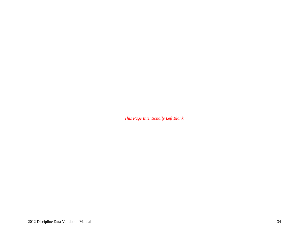*This Page Intentionally Left Blank*